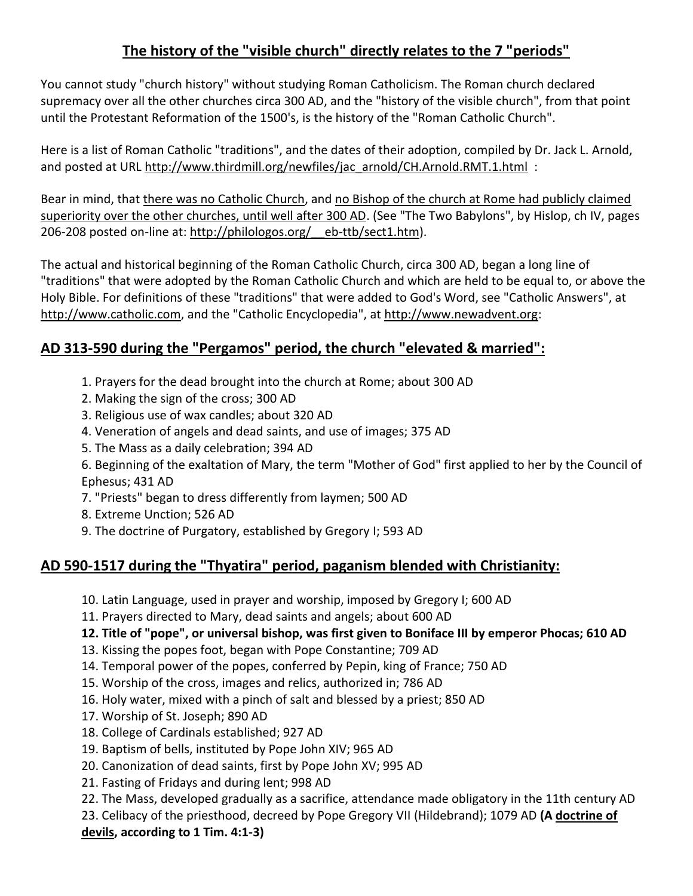# **The history of the "visible church" directly relates to the 7 "periods"**

You cannot study "church history" without studying Roman Catholicism. The Roman church declared supremacy over all the other churches circa 300 AD, and the "history of the visible church", from that point until the Protestant Reformation of the 1500's, is the history of the "Roman Catholic Church".

Here is a list of Roman Catholic "traditions", and the dates of their adoption, compiled by Dr. Jack L. Arnold, and posted at URL http://www.thirdmill.org/newfiles/jac\_arnold/CH.Arnold.RMT.1.html :

Bear in mind, that there was no Catholic Church, and no Bishop of the church at Rome had publicly claimed superiority over the other churches, until well after 300 AD. (See "The Two Babylons", by Hislop, ch IV, pages 206-208 posted on-line at: http://philologos.org/\_\_eb-ttb/sect1.htm).

The actual and historical beginning of the Roman Catholic Church, circa 300 AD, began a long line of "traditions" that were adopted by the Roman Catholic Church and which are held to be equal to, or above the Holy Bible. For definitions of these "traditions" that were added to God's Word, see "Catholic Answers", at http://www.catholic.com, and the "Catholic Encyclopedia", at http://www.newadvent.org:

## **AD 313-590 during the "Pergamos" period, the church "elevated & married":**

- 1. Prayers for the dead brought into the church at Rome; about 300 AD
- 2. Making the sign of the cross; 300 AD
- 3. Religious use of wax candles; about 320 AD
- 4. Veneration of angels and dead saints, and use of images; 375 AD
- 5. The Mass as a daily celebration; 394 AD

6. Beginning of the exaltation of Mary, the term "Mother of God" first applied to her by the Council of Ephesus; 431 AD

- 7. "Priests" began to dress differently from laymen; 500 AD
- 8. Extreme Unction; 526 AD
- 9. The doctrine of Purgatory, established by Gregory I; 593 AD

#### **AD 590-1517 during the "Thyatira" period, paganism blended with Christianity:**

- 10. Latin Language, used in prayer and worship, imposed by Gregory I; 600 AD
- 11. Prayers directed to Mary, dead saints and angels; about 600 AD
- **12. Title of "pope", or universal bishop, was first given to Boniface III by emperor Phocas; 610 AD**
- 13. Kissing the popes foot, began with Pope Constantine; 709 AD
- 14. Temporal power of the popes, conferred by Pepin, king of France; 750 AD
- 15. Worship of the cross, images and relics, authorized in; 786 AD
- 16. Holy water, mixed with a pinch of salt and blessed by a priest; 850 AD
- 17. Worship of St. Joseph; 890 AD
- 18. College of Cardinals established; 927 AD
- 19. Baptism of bells, instituted by Pope John XIV; 965 AD
- 20. Canonization of dead saints, first by Pope John XV; 995 AD
- 21. Fasting of Fridays and during lent; 998 AD
- 22. The Mass, developed gradually as a sacrifice, attendance made obligatory in the 11th century AD
- 23. Celibacy of the priesthood, decreed by Pope Gregory VII (Hildebrand); 1079 AD **(A doctrine of**

#### **devils, according to 1 Tim. 4:1-3)**